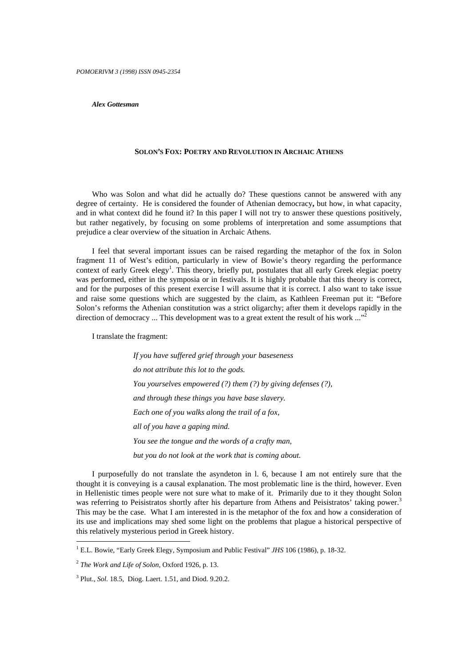*Alex Gottesman*

## **SOLON'S FOX: POETRY AND REVOLUTION IN ARCHAIC ATHENS**

Who was Solon and what did he actually do? These questions cannot be answered with any degree of certainty. He is considered the founder of Athenian democracy**,** but how, in what capacity, and in what context did he found it? In this paper I will not try to answer these questions positively, but rather negatively, by focusing on some problems of interpretation and some assumptions that prejudice a clear overview of the situation in Archaic Athens.

I feel that several important issues can be raised regarding the metaphor of the fox in Solon fragment 11 of West's edition, particularly in view of Bowie's theory regarding the performance context of early Greek elegy<sup>1</sup>. This theory, briefly put, postulates that all early Greek elegiac poetry was performed, either in the symposia or in festivals. It is highly probable that this theory is correct, and for the purposes of this present exercise I will assume that it is correct. I also want to take issue and raise some questions which are suggested by the claim, as Kathleen Freeman put it: "Before Solon's reforms the Athenian constitution was a strict oligarchy; after them it develops rapidly in the direction of democracy ... This development was to a great extent the result of his work  $\ldots$ <sup>22</sup>

I translate the fragment:

*If you have suffered grief through your baseseness do not attribute this lot to the gods. You yourselves empowered (?) them (?) by giving defenses (?), and through these things you have base slavery. Each one of you walks along the trail of a fox, all of you have a gaping mind. You see the tongue and the words of a crafty man, but you do not look at the work that is coming about.*

I purposefully do not translate the asyndeton in l. 6, because I am not entirely sure that the thought it is conveying is a causal explanation. The most problematic line is the third, however. Even in Hellenistic times people were not sure what to make of it. Primarily due to it they thought Solon was referring to Peisistratos shortly after his departure from Athens and Peisistratos' taking power.<sup>3</sup> This may be the case. What I am interested in is the metaphor of the fox and how a consideration of its use and implications may shed some light on the problems that plague a historical perspective of this relatively mysterious period in Greek history.

<sup>1</sup> E.L. Bowie, "Early Greek Elegy, Symposium and Public Festival" *JHS* 106 (1986), p. 18-32.

<sup>2</sup> *The Work and Life of Solon,* Oxford 1926, p. 13.

<sup>3</sup> Plut., *Sol.* 18.5, Diog. Laert. 1.51, and Diod. 9.20.2.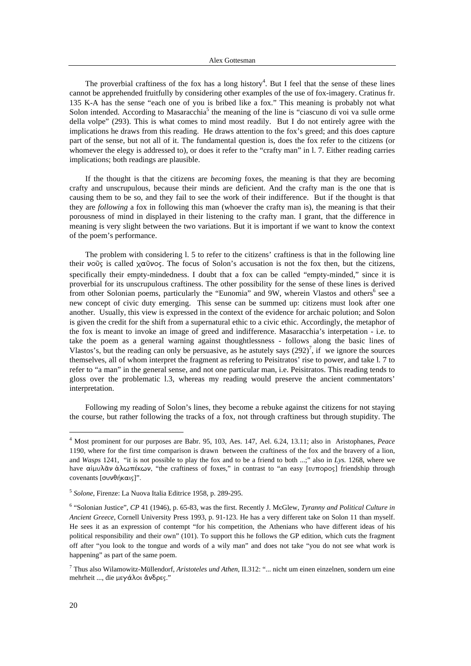The proverbial craftiness of the fox has a long history<sup>4</sup>. But I feel that the sense of these lines cannot be apprehended fruitfully by considering other examples of the use of fox-imagery. Cratinus fr. 135 K-A has the sense "each one of you is bribed like a fox." This meaning is probably not what Solon intended. According to Masaracchia<sup>5</sup> the meaning of the line is "ciascuno di voi va sulle orme della volpe" (293). This is what comes to mind most readily. But I do not entirely agree with the implications he draws from this reading. He draws attention to the fox's greed; and this does capture part of the sense, but not all of it. The fundamental question is, does the fox refer to the citizens (or whomever the elegy is addressed to), or does it refer to the "crafty man" in l. 7. Either reading carries implications; both readings are plausible.

If the thought is that the citizens are *becoming* foxes, the meaning is that they are becoming crafty and unscrupulous, because their minds are deficient. And the crafty man is the one that is causing them to be so, and they fail to see the work of their indifference. But if the thought is that they are *following* a fox in following this man (whoever the crafty man is), the meaning is that their porousness of mind in displayed in their listening to the crafty man. I grant, that the difference in meaning is very slight between the two variations. But it is important if we want to know the context of the poem's performance.

The problem with considering l. 5 to refer to the citizens' craftiness is that in the following line their vo $\tilde{\sigma}_{\zeta}$  is called  $\chi \alpha \tilde{\sigma} \nu \sigma_{\zeta}$ . The focus of Solon's accusation is not the fox then, but the citizens, specifically their empty-mindedness. I doubt that a fox can be called "empty-minded," since it is proverbial for its unscrupulous craftiness. The other possibility for the sense of these lines is derived from other Solonian poems, particularly the "Eunomia" and 9W, wherein Vlastos and others<sup>6</sup> see a new concept of civic duty emerging. This sense can be summed up: citizens must look after one another. Usually, this view is expressed in the context of the evidence for archaic polution; and Solon is given the credit for the shift from a supernatural ethic to a civic ethic. Accordingly, the metaphor of the fox is meant to invoke an image of greed and indifference. Masaracchia's interpetation - i.e. to take the poem as a general warning against thoughtlessness - follows along the basic lines of Vlastos's, but the reading can only be persuasive, as he astutely says  $(292)^7$ , if we ignore the sources themselves, all of whom interpret the fragment as refering to Peisitratos' rise to power, and take l. 7 to refer to "a man" in the general sense, and not one particular man, i.e. Peisitratos. This reading tends to gloss over the problematic l.3, whereas my reading would preserve the ancient commentators' interpretation.

Following my reading of Solon's lines, they become a rebuke against the citizens for not staying the course, but rather following the tracks of a fox, not through craftiness but through stupidity. The

<sup>4</sup> Most prominent for our purposes are Babr. 95, 103, Aes. 147, Ael. 6.24, 13.11; also in Aristophanes, *Peace* 1190, where for the first time comparison is drawn between the craftiness of the fox and the bravery of a lion, and *Wasps* 1241, "it is not possible to play the fox and to be a friend to both ...;" also in *Lys.* 1268, where we have αίμυλᾶν ἀλωπέκων, "the craftiness of foxes," in contrast to "an easy [ευπορος] friendship through covenants [συνθήκαις]".

<sup>5</sup> *Solone*, Firenze: La Nuova Italia Editrice 1958, p. 289-295.

<sup>6</sup> "Solonian Justice", *CP* 41 (1946), p. 65-83, was the first. Recently J. McGlew, *Tyranny and Political Culture in Ancient Greece,* Cornell University Press 1993, p. 91-123. He has a very different take on Solon 11 than myself. He sees it as an expression of contempt "for his competition, the Athenians who have different ideas of his political responsibility and their own" (101). To support this he follows the GP edition, which cuts the fragment off after "you look to the tongue and words of a wily man" and does not take "you do not see what work is happening" as part of the same poem.

<sup>7</sup> Thus also Wilamowitz-Müllendorf, *Aristoteles und Athen,* II.312: "... nicht um einen einzelnen, sondern um eine mehrheit ..., die μεγάλοι ἄνδρες."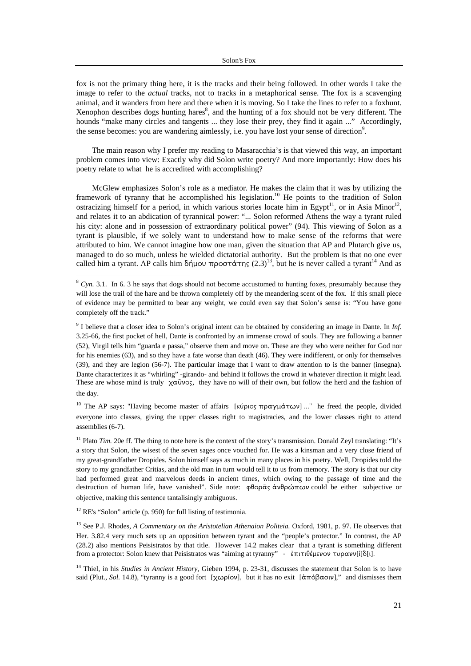fox is not the primary thing here, it is the tracks and their being followed. In other words I take the image to refer to the *actual* tracks, not to tracks in a metaphorical sense. The fox is a scavenging animal, and it wanders from here and there when it is moving. So I take the lines to refer to a foxhunt. Xenophon describes dogs hunting hares<sup>8</sup>, and the hunting of a fox should not be very different. The hounds "make many circles and tangents ... they lose their prey, they find it again ..." Accordingly, the sense becomes: you are wandering aimlessly, i.e. you have lost your sense of direction<sup>9</sup>.

The main reason why I prefer my reading to Masaracchia's is that viewed this way, an important problem comes into view: Exactly why did Solon write poetry? And more importantly: How does his poetry relate to what he is accredited with accomplishing?

McGlew emphasizes Solon's role as a mediator. He makes the claim that it was by utilizing the framework of tyranny that he accomplished his legislation.<sup>10</sup> He points to the tradition of Solon ostracizing himself for a period, in which various stories locate him in Egypt<sup>11</sup>, or in Asia Minor<sup>12</sup>, and relates it to an abdication of tyrannical power: "... Solon reformed Athens the way a tyrant ruled his city: alone and in possession of extraordinary political power" (94). This viewing of Solon as a tyrant is plausible, if we solely want to understand how to make sense of the reforms that were attributed to him. We cannot imagine how one man, given the situation that AP and Plutarch give us, managed to do so much, unless he wielded dictatorial authority. But the problem is that no one ever called him a tyrant. AP calls him  $\delta$ ήμου προστάτης (2.3)<sup>13</sup>, but he is never called a tyrant<sup>14</sup> And as

<sup>10</sup> The AP says: "Having become master of affairs [κύριος πραγμάτων] ..." he freed the people, divided everyone into classes, giving the upper classes right to magistracies, and the lower classes right to attend assemblies (6-7).

<sup>11</sup> Plato *Tim.* 20e ff. The thing to note here is the context of the story's transmission. Donald Zeyl translating: "It's a story that Solon, the wisest of the seven sages once vouched for. He was a kinsman and a very close friend of my great-grandfather Dropides. Solon himself says as much in many places in his poetry. Well, Dropides told the story to my grandfather Critias, and the old man in turn would tell it to us from memory. The story is that our city had performed great and marvelous deeds in ancient times, which owing to the passage of time and the destruction of human life, have vanished". Side note: φθορᾶς ἀνθρώπων could be either subjective or objective, making this sentence tantalisingly ambiguous.

<sup>12</sup> RE's "Solon" article (p. 950) for full listing of testimonia.

<sup>&</sup>lt;sup>8</sup> *Cyn.* 3.1. In 6. 3 he says that dogs should not become accustomed to hunting foxes, presumably because they will lose the trail of the hare and be thrown completely off by the meandering scent of the fox. If this small piece of evidence may be permitted to bear any weight, we could even say that Solon's sense is: "You have gone completely off the track."

<sup>9</sup> I believe that a closer idea to Solon's original intent can be obtained by considering an image in Dante. In *Inf.* 3.25-66, the first pocket of hell, Dante is confronted by an immense crowd of souls. They are following a banner (52), Virgil tells him "guarda e passa," observe them and move on. These are they who were neither for God nor for his enemies (63), and so they have a fate worse than death (46). They were indifferent, or only for themselves (39), and they are legion (56-7). The particular image that I want to draw attention to is the banner (insegna). Dante characterizes it as "whirling" -girando- and behind it follows the crowd in whatever direction it might lead. These are whose mind is truly  $\chi\alpha\tilde{v}\nu$ os, they have no will of their own, but follow the herd and the fashion of the day.

<sup>&</sup>lt;sup>13</sup> See P.J. Rhodes, *A Commentary on the Aristotelian Athenaion Politeia*. Oxford, 1981, p. 97. He observes that Her. 3.82.4 very much sets up an opposition between tyrant and the "people's protector." In contrast, the AP (28.2) also mentions Peisistratos by that title. However 14.2 makes clear that a tyrant is something different from a protector: Solon knew that Peisistratos was "aiming at tyranny" -  $\dot{\epsilon}$ πιτιθέμενον τυρανν[ $i[\delta]$ ι].

<sup>&</sup>lt;sup>14</sup> Thiel, in his *Studies in Ancient History*, Gieben 1994, p. 23-31, discusses the statement that Solon is to have said (Plut., *Sol.* 14.8), "tyranny is a good fort [ $\chi \omega \rho$ [ov], but it has no exit  $\alpha$ [ $\alpha$ ] ( $\alpha$ ]," and dismisses them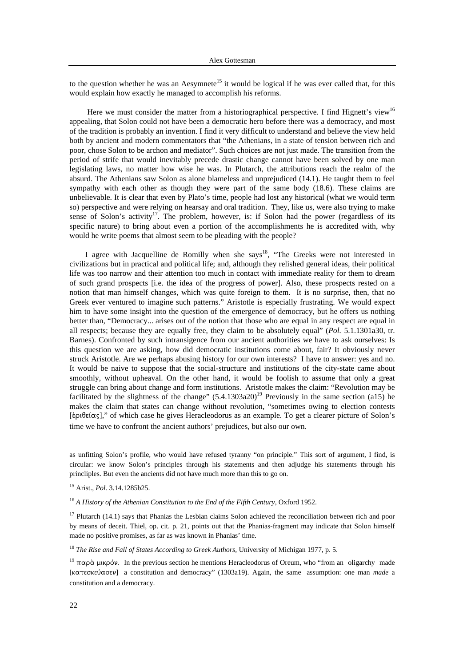to the question whether he was an Aesymnete<sup>15</sup> it would be logical if he was ever called that, for this would explain how exactly he managed to accomplish his reforms.

Here we must consider the matter from a historiographical perspective. I find Hignett's view<sup>16</sup> appealing, that Solon could not have been a democratic hero before there was a democracy, and most of the tradition is probably an invention. I find it very difficult to understand and believe the view held both by ancient and modern commentators that "the Athenians, in a state of tension between rich and poor, chose Solon to be archon and mediator". Such choices are not just made. The transition from the period of strife that would inevitably precede drastic change cannot have been solved by one man legislating laws, no matter how wise he was. In Plutarch, the attributions reach the realm of the absurd. The Athenians saw Solon as alone blameless and unprejudiced (14.1). He taught them to feel sympathy with each other as though they were part of the same body (18.6). These claims are unbelievable. It is clear that even by Plato's time, people had lost any historical (what we would term so) perspective and were relying on hearsay and oral tradition. They, like us, were also trying to make sense of Solon's activity<sup>17</sup>. The problem, however, is: if Solon had the power (regardless of its specific nature) to bring about even a portion of the accomplishments he is accredited with, why would he write poems that almost seem to be pleading with the people?

I agree with Jacquelline de Romilly when she says<sup>18</sup>, "The Greeks were not interested in civilizations but in practical and political life; and, although they relished general ideas, their political life was too narrow and their attention too much in contact with immediate reality for them to dream of such grand prospects [i.e. the idea of the progress of power]. Also, these prospects rested on a notion that man himself changes, which was quite foreign to them. It is no surprise, then, that no Greek ever ventured to imagine such patterns." Aristotle is especially frustrating. We would expect him to have some insight into the question of the emergence of democracy, but he offers us nothing better than, "Democracy... arises out of the notion that those who are equal in any respect are equal in all respects; because they are equally free, they claim to be absolutely equal" (*Pol.* 5.1.1301a30, tr. Barnes). Confronted by such intransigence from our ancient authorities we have to ask ourselves: Is this question we are asking, how did democratic institutions come about, fair? It obviously never struck Aristotle. Are we perhaps abusing history for our own interests? I have to answer: yes and no. It would be naive to suppose that the social-structure and institutions of the city-state came about smoothly, without upheaval. On the other hand, it would be foolish to assume that only a great struggle can bring about change and form institutions. Aristotle makes the claim: "Revolution may be facilitated by the slightness of the change"  $(5.4.1303a20)^{19}$  Previously in the same section (a15) he makes the claim that states can change without revolution, "sometimes owing to election contests  $[\dot{\epsilon} \rho \theta \epsilon \dot{\alpha} \sigma]$ ," of which case he gives Heracleodorus as an example. To get a clearer picture of Solon's time we have to confront the ancient authors' prejudices, but also our own.

as unfitting Solon's profile, who would have refused tyranny "on principle." This sort of argument, I find, is circular: we know Solon's principles through his statements and then adjudge his statements through his princliples. But even the ancients did not have much more than this to go on.

15 Arist., *Pol.* 3.14.1285b25.

<sup>16</sup> A History of the Athenian Constitution to the End of the Fifth Century, Oxford 1952.

 $17$  Plutarch (14.1) says that Phanias the Lesbian claims Solon achieved the reconciliation between rich and poor by means of deceit. Thiel, op. cit. p. 21, points out that the Phanias-fragment may indicate that Solon himself made no positive promises, as far as was known in Phanias' time.

<sup>18</sup> *The Rise and Fall of States According to Greek Authors,* University of Michigan 1977, p. 5.

<sup>19</sup> παρά μικρόν. In the previous section he mentions Heracleodorus of Oreum, who "from an oligarchy made [κατεσκεύασεν] a constitution and democracy" (1303a19). Again, the same assumption: one man *made* a constitution and a democracy.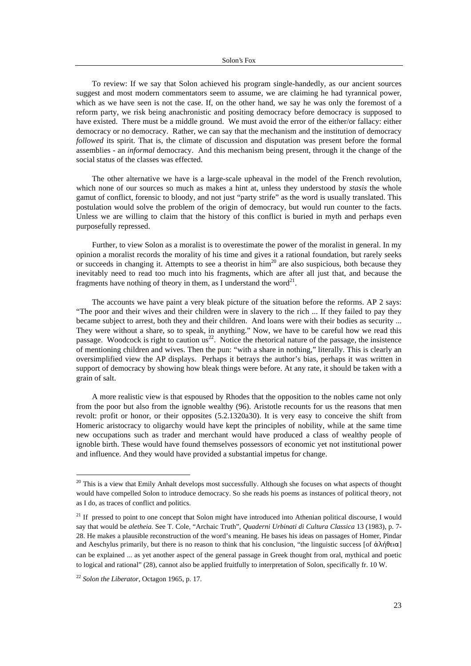To review: If we say that Solon achieved his program single-handedly, as our ancient sources suggest and most modern commentators seem to assume, we are claiming he had tyrannical power, which as we have seen is not the case. If, on the other hand, we say he was only the foremost of a reform party, we risk being anachronistic and positing democracy before democracy is supposed to have existed. There must be a middle ground. We must avoid the error of the either/or fallacy: either democracy or no democracy. Rather, we can say that the mechanism and the institution of democracy *followed* its spirit. That is, the climate of discussion and disputation was present before the formal assemblies - an *informal* democracy. And this mechanism being present, through it the change of the social status of the classes was effected.

The other alternative we have is a large-scale upheaval in the model of the French revolution, which none of our sources so much as makes a hint at, unless they understood by *stasis* the whole gamut of conflict, forensic to bloody, and not just "party strife" as the word is usually translated. This postulation would solve the problem of the origin of democracy, but would run counter to the facts. Unless we are willing to claim that the history of this conflict is buried in myth and perhaps even purposefully repressed.

Further, to view Solon as a moralist is to overestimate the power of the moralist in general. In my opinion a moralist records the morality of his time and gives it a rational foundation, but rarely seeks or succeeds in changing it. Attempts to see a theorist in  $\text{him}^{20}$  are also suspicious, both because they inevitably need to read too much into his fragments, which are after all just that, and because the fragments have nothing of theory in them, as I understand the word<sup>21</sup>.

The accounts we have paint a very bleak picture of the situation before the reforms. AP 2 says: "The poor and their wives and their children were in slavery to the rich ... If they failed to pay they became subject to arrest, both they and their children. And loans were with their bodies as security ... They were without a share, so to speak, in anything." Now, we have to be careful how we read this passage. Woodcock is right to caution  $\text{us}^{22}$ . Notice the rhetorical nature of the passage, the insistence of mentioning children and wives. Then the pun: "with a share in nothing," literally. This is clearly an oversimplified view the AP displays. Perhaps it betrays the author's bias, perhaps it was written in support of democracy by showing how bleak things were before. At any rate, it should be taken with a grain of salt.

A more realistic view is that espoused by Rhodes that the opposition to the nobles came not only from the poor but also from the ignoble wealthy (96). Aristotle recounts for us the reasons that men revolt: profit or honor, or their opposites (5.2.1320a30). It is very easy to conceive the shift from Homeric aristocracy to oligarchy would have kept the principles of nobility, while at the same time new occupations such as trader and merchant would have produced a class of wealthy people of ignoble birth. These would have found themselves possessors of economic yet not institutional power and influence. And they would have provided a substantial impetus for change.

<sup>&</sup>lt;sup>20</sup> This is a view that Emily Anhalt develops most successfully. Although she focuses on what aspects of thought would have compelled Solon to introduce democracy. So she reads his poems as instances of political theory, not as I do, as traces of conflict and politics.

 $21$  If pressed to point to one concept that Solon might have introduced into Athenian political discourse, I would say that would be *aletheia.* See T. Cole, "Archaic Truth", *Quaderni Urbinati di Cultura Classica* 13 (1983), p. 7- 28. He makes a plausible reconstruction of the word's meaning. He bases his ideas on passages of Homer, Pindar and Aeschylus primarily, but there is no reason to think that his conclusion, "the linguistic success [of  $\dot{\alpha}\lambda$ ήθεια] can be explained ... as yet another aspect of the general passage in Greek thought from oral, mythical and poetic to logical and rational" (28), cannot also be applied fruitfully to interpretation of Solon, specifically fr. 10 W.

<sup>22</sup> *Solon the Liberator,* Octagon 1965, p. 17.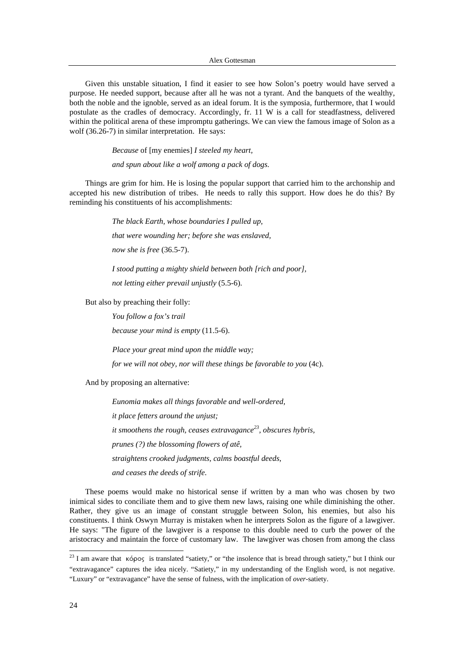Alex Gottesman

Given this unstable situation, I find it easier to see how Solon's poetry would have served a purpose. He needed support, because after all he was not a tyrant. And the banquets of the wealthy, both the noble and the ignoble, served as an ideal forum. It is the symposia, furthermore, that I would postulate as the cradles of democracy. Accordingly, fr. 11 W is a call for steadfastness, delivered within the political arena of these impromptu gatherings. We can view the famous image of Solon as a wolf (36.26-7) in similar interpretation. He says:

*Because* of [my enemies] *I steeled my heart,*

*and spun about like a wolf among a pack of dogs.*

Things are grim for him. He is losing the popular support that carried him to the archonship and accepted his new distribution of tribes. He needs to rally this support. How does he do this? By reminding his constituents of his accomplishments:

> *The black Earth, whose boundaries I pulled up, that were wounding her; before she was enslaved, now she is free* (36.5-7).

*I stood putting a mighty shield between both [rich and poor], not letting either prevail unjustly* (5.5-6).

But also by preaching their folly:

*You follow a fox's trail*

*because your mind is empty* (11.5-6).

*Place your great mind upon the middle way;*

*for we will not obey, nor will these things be favorable to you* (4c).

And by proposing an alternative:

*Eunomia makes all things favorable and well-ordered, it place fetters around the unjust; it smoothens the rough, ceases extravagance23, obscures hybris, prunes (?) the blossoming flowers of atê, straightens crooked judgments, calms boastful deeds, and ceases the deeds of strife*.

These poems would make no historical sense if written by a man who was chosen by two inimical sides to conciliate them and to give them new laws, raising one while diminishing the other. Rather, they give us an image of constant struggle between Solon, his enemies, but also his constituents. I think Oswyn Murray is mistaken when he interprets Solon as the figure of a lawgiver. He says: "The figure of the lawgiver is a response to this double need to curb the power of the aristocracy and maintain the force of customary law. The lawgiver was chosen from among the class

<sup>&</sup>lt;sup>23</sup> I am aware that  $\kappa$ όρος is translated "satiety," or "the insolence that is bread through satiety," but I think our "extravagance" captures the idea nicely. "Satiety," in my understanding of the English word, is not negative. "Luxury" or "extravagance" have the sense of fulness, with the implication of *over-*satiety.